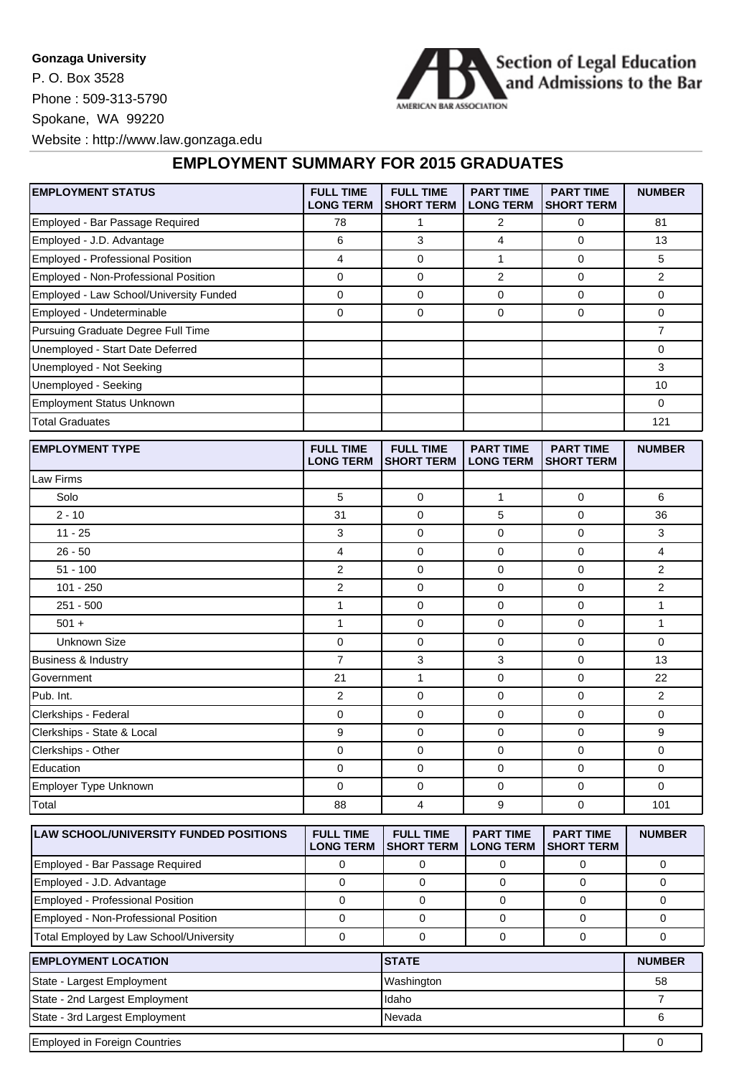## **Gonzaga University**

P. O. Box 3528 Phone : 509-313-5790 Spokane, WA 99220



Website : http://www.law.gonzaga.edu

## **EMPLOYMENT SUMMARY FOR 2015 GRADUATES**

| <b>EMPLOYMENT STATUS</b>                      | <b>FULL TIME</b><br><b>LONG TERM</b> | <b>FULL TIME</b><br><b>SHORT TERM</b> | <b>PART TIME</b><br><b>LONG TERM</b> | <b>PART TIME</b><br><b>SHORT TERM</b> | <b>NUMBER</b>  |
|-----------------------------------------------|--------------------------------------|---------------------------------------|--------------------------------------|---------------------------------------|----------------|
| Employed - Bar Passage Required               | 78                                   | $\mathbf{1}$                          | $\overline{2}$                       | 0                                     | 81             |
| Employed - J.D. Advantage                     | 6                                    | 3                                     | 4                                    | 0                                     | 13             |
| Employed - Professional Position              | $\overline{4}$                       | 0                                     | $\mathbf{1}$                         | 0                                     | 5              |
| Employed - Non-Professional Position          | $\mathbf 0$                          | 0                                     | $\overline{2}$                       | 0                                     | 2              |
| Employed - Law School/University Funded       | $\mathbf 0$                          | 0                                     | $\mathbf 0$                          | 0                                     | 0              |
| Employed - Undeterminable                     | $\mathbf 0$                          | 0                                     | $\mathbf 0$                          | 0                                     | 0              |
| Pursuing Graduate Degree Full Time            |                                      |                                       |                                      |                                       | $\overline{7}$ |
| Unemployed - Start Date Deferred              |                                      |                                       |                                      |                                       | 0              |
| Unemployed - Not Seeking                      |                                      |                                       |                                      |                                       | 3              |
| Unemployed - Seeking                          |                                      |                                       |                                      |                                       | 10             |
| <b>Employment Status Unknown</b>              |                                      |                                       |                                      |                                       | 0              |
| <b>Total Graduates</b>                        |                                      |                                       |                                      |                                       | 121            |
| <b>EMPLOYMENT TYPE</b>                        | <b>FULL TIME</b><br><b>LONG TERM</b> | <b>FULL TIME</b><br>SHORT TERM        | <b>PART TIME</b><br><b>LONG TERM</b> | <b>PART TIME</b><br><b>SHORT TERM</b> | <b>NUMBER</b>  |
| Law Firms                                     |                                      |                                       |                                      |                                       |                |
| Solo                                          | 5                                    | 0                                     | $\mathbf{1}$                         | 0                                     | 6              |
| $2 - 10$                                      | 31                                   | 0                                     | 5                                    | 0                                     | 36             |
| $11 - 25$                                     | 3                                    | 0                                     | $\mathbf 0$                          | 0                                     | 3              |
| $26 - 50$                                     | 4                                    | 0                                     | $\mathbf 0$                          | 0                                     | 4              |
| $51 - 100$                                    | $\overline{2}$                       | 0                                     | $\mathbf 0$                          | 0                                     | 2              |
| 101 - 250                                     | $\overline{c}$                       | 0                                     | $\mathbf 0$                          | 0                                     | 2              |
| 251 - 500                                     | $\mathbf{1}$                         | 0                                     | $\mathbf 0$                          | 0                                     | $\mathbf{1}$   |
| $501 +$                                       | $\mathbf{1}$                         | 0                                     | $\mathbf 0$                          | 0                                     | 1              |
| <b>Unknown Size</b>                           | $\mathbf 0$                          | 0                                     | $\mathbf 0$                          | 0                                     | 0              |
| Business & Industry                           | $\overline{7}$                       | 3                                     | 3                                    | 0                                     | 13             |
| Government                                    | 21                                   | $\mathbf{1}$                          | 0                                    | 0                                     | 22             |
| Pub. Int.                                     | $\overline{2}$                       | 0                                     | 0                                    | 0                                     | $\overline{2}$ |
| Clerkships - Federal                          | 0                                    | 0                                     | $\mathbf 0$                          | 0                                     | 0              |
| Clerkships - State & Local                    | 9                                    | 0                                     | $\mathbf 0$                          | 0                                     | 9              |
| Clerkships - Other                            | $\mathbf 0$                          | 0                                     | 0                                    | 0                                     | 0              |
| Education                                     | $\mathbf 0$                          | 0                                     | $\mathbf 0$                          | 0                                     | 0              |
| Employer Type Unknown                         | $\mathbf 0$                          | 0                                     | $\mathbf 0$                          | 0                                     | 0              |
| Total                                         | 88                                   | 4                                     | 9                                    | 0                                     | 101            |
| <b>LAW SCHOOL/UNIVERSITY FUNDED POSITIONS</b> | <b>FULL TIME</b>                     | <b>FULL TIME</b>                      | <b>PART TIME</b>                     | <b>PART TIME</b>                      | <b>NUMBER</b>  |

| <b>ILAW SCHOOL/UNIVERSITY FUNDED POSITIONS</b> | <b>FULL TIME</b><br><b>LONG TERM</b> | <b>FULL TIME</b><br>ISHORT TERM | <b>PART TIME</b><br><b>LONG TERM</b> | <b>PART TIME</b><br><b>ISHORT TERM</b> | <b>NUMBER</b> |
|------------------------------------------------|--------------------------------------|---------------------------------|--------------------------------------|----------------------------------------|---------------|
| Employed - Bar Passage Required                |                                      |                                 |                                      |                                        |               |
| Employed - J.D. Advantage                      |                                      |                                 |                                      |                                        |               |
| Employed - Professional Position               |                                      |                                 |                                      |                                        |               |
| Employed - Non-Professional Position           |                                      |                                 |                                      |                                        |               |
| Total Employed by Law School/University        |                                      |                                 |                                      |                                        |               |
| <b>EMPLOYMENT LOCATION</b>                     | <b>STATE</b>                         |                                 |                                      | <b>NUMBER</b>                          |               |
| State - Largest Employment                     |                                      | Washington                      |                                      |                                        | 58            |
| State - 2nd Largest Employment                 |                                      | Idaho                           |                                      |                                        |               |

State - 3rd Largest Employment 6

| <b>Employed in Foreign Countries</b> |  |
|--------------------------------------|--|
|                                      |  |